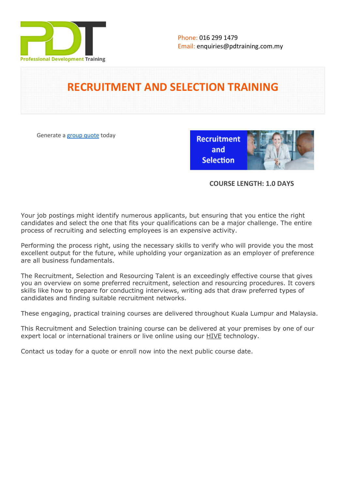

# **RECRUITMENT AND SELECTION TRAINING**

Generate a [group quote](https://pdtraining.com.my/inhouse-training-quote?cse=PDTRS01) today

**Recruitment** and **Selection** 



## **COURSE LENGTH: 1.0 DAYS**

Your job postings might identify numerous applicants, but ensuring that you entice the right candidates and select the one that fits your qualifications can be a major challenge. The entire process of recruiting and selecting employees is an expensive activity.

Performing the process right, using the necessary skills to verify who will provide you the most excellent output for the future, while upholding your organization as an employer of preference are all business fundamentals.

The Recruitment, Selection and Resourcing Talent is an exceedingly effective course that gives you an overview on some preferred recruitment, selection and resourcing procedures. It covers skills like how to prepare for conducting interviews, writing ads that draw preferred types of candidates and finding suitable recruitment networks.

These engaging, practical training courses are delivered throughout Kuala Lumpur and Malaysia.

This Recruitment and Selection training course can be delivered at your premises by one of our expert local or international trainers or live online using our HIVE technology.

Contact us today for a quote or enroll now into the next public course date.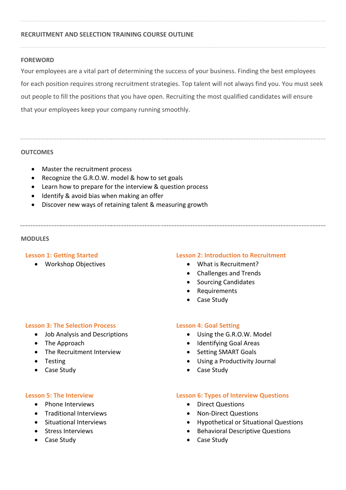## **RECRUITMENT AND SELECTION TRAINING COURSE OUTLINE**

#### **FOREWORD**

Your employees are a vital part of determining the success of your business. Finding the best employees for each position requires strong recruitment strategies. Top talent will not always find you. You must seek out people to fill the positions that you have open. Recruiting the most qualified candidates will ensure that your employees keep your company running smoothly.

#### **OUTCOMES**

- Master the recruitment process
- Recognize the G.R.O.W. model & how to set goals
- Learn how to prepare for the interview & question process
- Identify & avoid bias when making an offer
- Discover new ways of retaining talent & measuring growth

#### **MODULES**

#### **Lesson 1: Getting Started**

Workshop Objectives

#### **Lesson 2: Introduction to Recruitment**

- What is Recruitment?
- Challenges and Trends
- Sourcing Candidates
- Requirements
- Case Study

#### **Lesson 3: The Selection Process**

- Job Analysis and Descriptions
- The Approach
- The Recruitment Interview
- Testing
- Case Study

#### **Lesson 5: The Interview**

- Phone Interviews
- **•** Traditional Interviews
- **•** Situational Interviews
- Stress Interviews
- Case Study

### **Lesson 4: Goal Setting**

- Using the G.R.O.W. Model
- Identifying Goal Areas
- Setting SMART Goals
- Using a Productivity Journal
- Case Study

#### **Lesson 6: Types of Interview Questions**

- Direct Questions
- Non-Direct Questions
- Hypothetical or Situational Questions
- **•** Behavioral Descriptive Questions
- Case Study